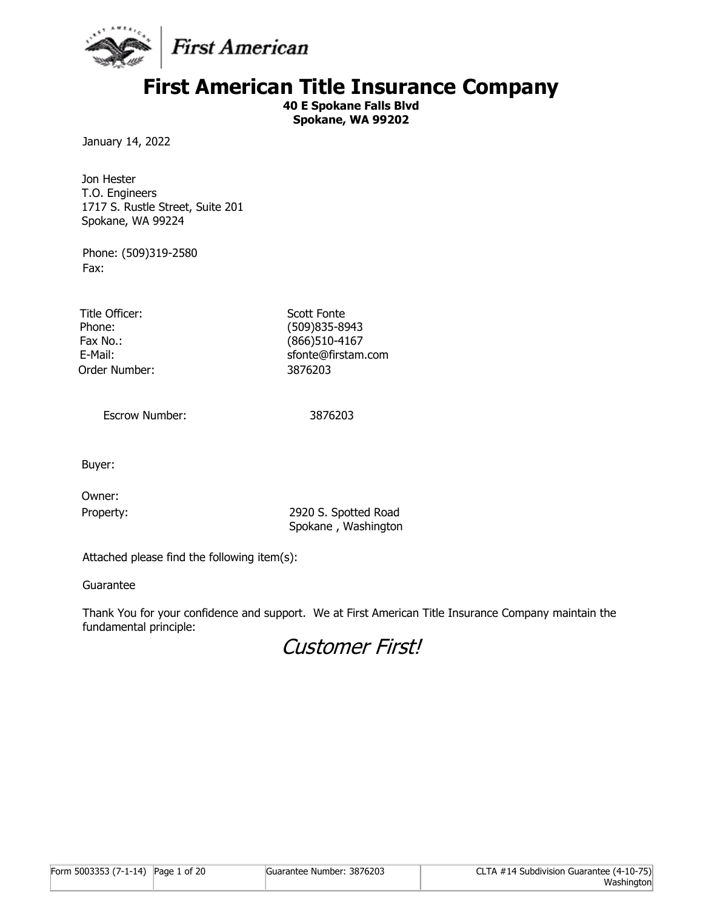

# **First American Title Insurance Company**

**40 E Spokane Falls Blvd Spokane, WA 99202**

January 14, 2022

Jon Hester T.O. Engineers 1717 S. Rustle Street, Suite 201 Spokane, WA 99224

Phone: (509)319-2580 Fax:

Title Officer: Scott Fonte Order Number: 3876203

Phone: (509)835-8943 Fax No.: (866)510-4167 E-Mail: Simulation of the state of state sfonte@firstam.com

Escrow Number: 3876203

Buyer:

Owner:

Property: 2920 S. Spotted Road Spokane , Washington

Attached please find the following item(s):

Guarantee

Thank You for your confidence and support. We at First American Title Insurance Company maintain the fundamental principle:

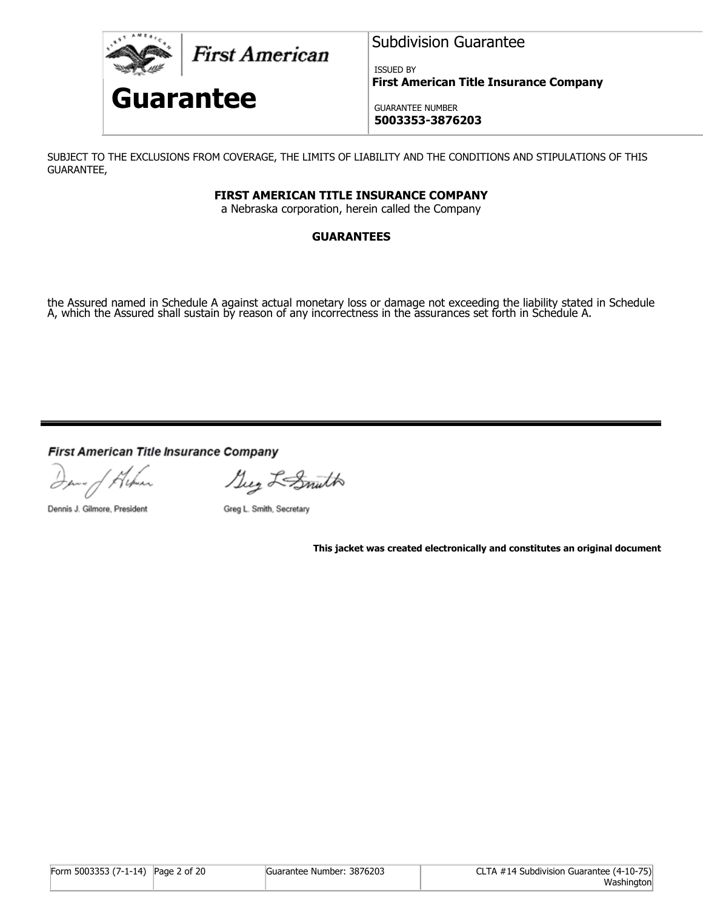

**First American** 

# **Guarantee**

Subdivision Guarantee

ISSUED BY **First American Title Insurance Company**

GUARANTEE NUMBER **5003353-3876203**

SUBJECT TO THE EXCLUSIONS FROM COVERAGE, THE LIMITS OF LIABILITY AND THE CONDITIONS AND STIPULATIONS OF THIS GUARANTEE,

## **FIRST AMERICAN TITLE INSURANCE COMPANY**

a Nebraska corporation, herein called the Company

# **GUARANTEES**

the Assured named in Schedule A against actual monetary loss or damage not exceeding the liability stated in Schedule A, which the Assured shall sustain by reason of any incorrectness in the assurances set forth in Schedule A.

First American Title Insurance Company

Inna of Album

Suy L-Smuth

Dennis J. Gilmore, President

Greg L. Smith, Secretary

**This jacket was created electronically and constitutes an original document**

| Form 5003353 (7-1-14) Page 2 of 20 | Guarantee Number: 3876203 | CLTA #14 Subdivision Guarantee (4-10-75) |
|------------------------------------|---------------------------|------------------------------------------|
|                                    |                           | Washington                               |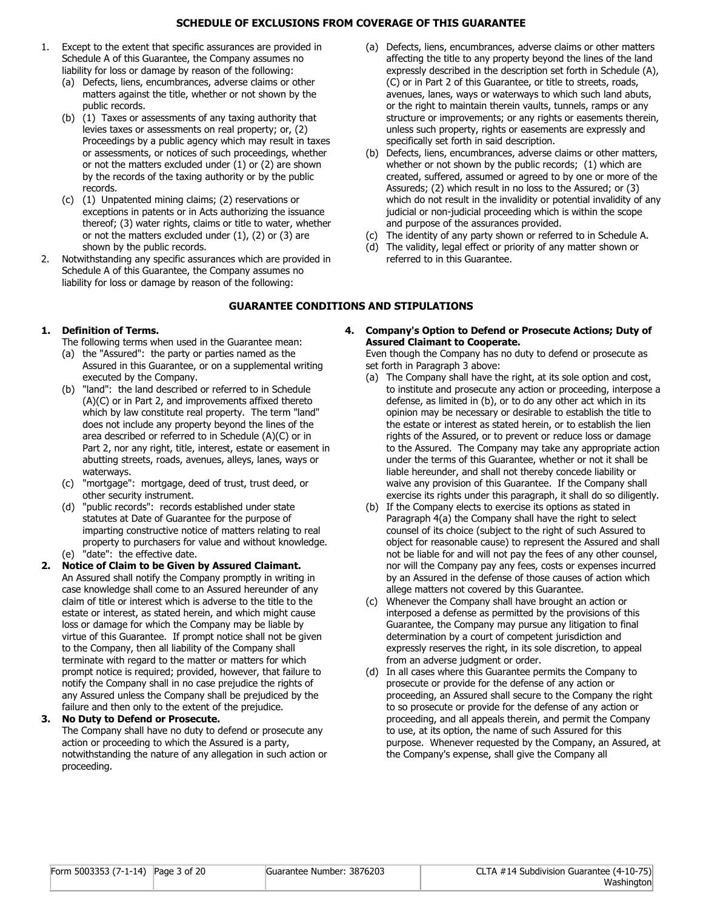#### **SCHEDULE OF EXCLUSIONS FROM COVERAGE OF THIS GUARANTEE**

- 1. Except to the extent that specific assurances are provided in Schedule A of this Guarantee, the Company assumes no liability for loss or damage by reason of the following:
	- (a) Defects, liens, encumbrances, adverse claims or other matters against the title, whether or not shown by the public records.
	- (b) (1) Taxes or assessments of any taxing authority that levies taxes or assessments on real property; or, (2) Proceedings by a public agency which may result in taxes or assessments, or notices of such proceedings, whether or not the matters excluded under (1) or (2) are shown by the records of the taxing authority or by the public records.
	- (c) (1) Unpatented mining claims; (2) reservations or exceptions in patents or in Acts authorizing the issuance thereof; (3) water rights, claims or title to water, whether or not the matters excluded under  $(1)$ ,  $(2)$  or  $(3)$  are shown by the public records.
- 2. Notwithstanding any specific assurances which are provided in Schedule A of this Guarantee, the Company assumes no liability for loss or damage by reason of the following:
- (a) Defects, liens, encumbrances, adverse claims or other matters affecting the title to any property beyond the lines of the land expressly described in the description set forth in Schedule (A), (C) or in Part 2 of this Guarantee, or title to streets, roads, avenues, lanes, ways or waterways to which such land abuts, or the right to maintain therein vaults, tunnels, ramps or any structure or improvements; or any rights or easements therein, unless such property, rights or easements are expressly and specifically set forth in said description.
- (b) Defects, liens, encumbrances, adverse claims or other matters, whether or not shown by the public records; (1) which are created, suffered, assumed or agreed to by one or more of the Assureds; (2) which result in no loss to the Assured; or (3) which do not result in the invalidity or potential invalidity of any judicial or non-judicial proceeding which is within the scope and purpose of the assurances provided.
- (c) The identity of any party shown or referred to in Schedule A.
- (d) The validity, legal effect or priority of any matter shown or referred to in this Guarantee.

#### **GUARANTEE CONDITIONS AND STIPULATIONS**

#### **1. Definition of Terms.**

The following terms when used in the Guarantee mean:

- (a) the "Assured": the party or parties named as the Assured in this Guarantee, or on a supplemental writing executed by the Company.
- (b) "land": the land described or referred to in Schedule (A)(C) or in Part 2, and improvements affixed thereto which by law constitute real property. The term "land" does not include any property beyond the lines of the area described or referred to in Schedule (A)(C) or in Part 2, nor any right, title, interest, estate or easement in abutting streets, roads, avenues, alleys, lanes, ways or waterways.
- (c) "mortgage": mortgage, deed of trust, trust deed, or other security instrument.
- (d) "public records": records established under state statutes at Date of Guarantee for the purpose of imparting constructive notice of matters relating to real property to purchasers for value and without knowledge. (e) "date": the effective date.
- **2. Notice of Claim to be Given by Assured Claimant.** An Assured shall notify the Company promptly in writing in case knowledge shall come to an Assured hereunder of any claim of title or interest which is adverse to the title to the estate or interest, as stated herein, and which might cause loss or damage for which the Company may be liable by virtue of this Guarantee. If prompt notice shall not be given to the Company, then all liability of the Company shall terminate with regard to the matter or matters for which prompt notice is required; provided, however, that failure to notify the Company shall in no case prejudice the rights of any Assured unless the Company shall be prejudiced by the failure and then only to the extent of the prejudice.

#### **3. No Duty to Defend or Prosecute.**

The Company shall have no duty to defend or prosecute any action or proceeding to which the Assured is a party, notwithstanding the nature of any allegation in such action or proceeding.

**4. Company's Option to Defend or Prosecute Actions; Duty of Assured Claimant to Cooperate.**

Even though the Company has no duty to defend or prosecute as set forth in Paragraph 3 above:

- (a) The Company shall have the right, at its sole option and cost, to institute and prosecute any action or proceeding, interpose a defense, as limited in (b), or to do any other act which in its opinion may be necessary or desirable to establish the title to the estate or interest as stated herein, or to establish the lien rights of the Assured, or to prevent or reduce loss or damage to the Assured. The Company may take any appropriate action under the terms of this Guarantee, whether or not it shall be liable hereunder, and shall not thereby concede liability or waive any provision of this Guarantee. If the Company shall exercise its rights under this paragraph, it shall do so diligently.
- (b) If the Company elects to exercise its options as stated in Paragraph 4(a) the Company shall have the right to select counsel of its choice (subject to the right of such Assured to object for reasonable cause) to represent the Assured and shall not be liable for and will not pay the fees of any other counsel, nor will the Company pay any fees, costs or expenses incurred by an Assured in the defense of those causes of action which allege matters not covered by this Guarantee.
- (c) Whenever the Company shall have brought an action or interposed a defense as permitted by the provisions of this Guarantee, the Company may pursue any litigation to final determination by a court of competent jurisdiction and expressly reserves the right, in its sole discretion, to appeal from an adverse judgment or order.
- (d) In all cases where this Guarantee permits the Company to prosecute or provide for the defense of any action or proceeding, an Assured shall secure to the Company the right to so prosecute or provide for the defense of any action or proceeding, and all appeals therein, and permit the Company to use, at its option, the name of such Assured for this purpose. Whenever requested by the Company, an Assured, at the Company's expense, shall give the Company all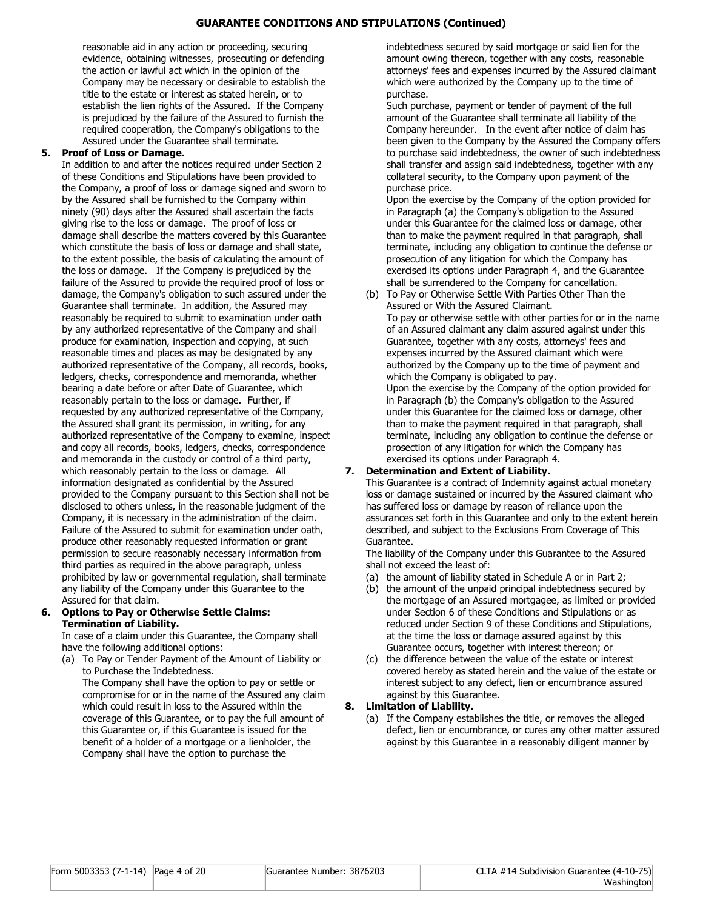#### **GUARANTEE CONDITIONS AND STIPULATIONS (Continued)**

reasonable aid in any action or proceeding, securing evidence, obtaining witnesses, prosecuting or defending the action or lawful act which in the opinion of the Company may be necessary or desirable to establish the title to the estate or interest as stated herein, or to establish the lien rights of the Assured. If the Company is prejudiced by the failure of the Assured to furnish the required cooperation, the Company's obligations to the Assured under the Guarantee shall terminate.

#### **5. Proof of Loss or Damage.**

In addition to and after the notices required under Section 2 of these Conditions and Stipulations have been provided to the Company, a proof of loss or damage signed and sworn to by the Assured shall be furnished to the Company within ninety (90) days after the Assured shall ascertain the facts giving rise to the loss or damage. The proof of loss or damage shall describe the matters covered by this Guarantee which constitute the basis of loss or damage and shall state, to the extent possible, the basis of calculating the amount of the loss or damage. If the Company is prejudiced by the failure of the Assured to provide the required proof of loss or damage, the Company's obligation to such assured under the Guarantee shall terminate. In addition, the Assured may reasonably be required to submit to examination under oath by any authorized representative of the Company and shall produce for examination, inspection and copying, at such reasonable times and places as may be designated by any authorized representative of the Company, all records, books, ledgers, checks, correspondence and memoranda, whether bearing a date before or after Date of Guarantee, which reasonably pertain to the loss or damage. Further, if requested by any authorized representative of the Company, the Assured shall grant its permission, in writing, for any authorized representative of the Company to examine, inspect and copy all records, books, ledgers, checks, correspondence and memoranda in the custody or control of a third party, which reasonably pertain to the loss or damage. All information designated as confidential by the Assured provided to the Company pursuant to this Section shall not be disclosed to others unless, in the reasonable judgment of the Company, it is necessary in the administration of the claim. Failure of the Assured to submit for examination under oath, produce other reasonably requested information or grant permission to secure reasonably necessary information from third parties as required in the above paragraph, unless prohibited by law or governmental regulation, shall terminate any liability of the Company under this Guarantee to the Assured for that claim.

#### **6. Options to Pay or Otherwise Settle Claims: Termination of Liability.**

In case of a claim under this Guarantee, the Company shall have the following additional options:

(a) To Pay or Tender Payment of the Amount of Liability or to Purchase the Indebtedness. The Company shall have the option to pay or settle or compromise for or in the name of the Assured any claim which could result in loss to the Assured within the

coverage of this Guarantee, or to pay the full amount of this Guarantee or, if this Guarantee is issued for the benefit of a holder of a mortgage or a lienholder, the Company shall have the option to purchase the

indebtedness secured by said mortgage or said lien for the amount owing thereon, together with any costs, reasonable attorneys' fees and expenses incurred by the Assured claimant which were authorized by the Company up to the time of purchase.

Such purchase, payment or tender of payment of the full amount of the Guarantee shall terminate all liability of the Company hereunder. In the event after notice of claim has been given to the Company by the Assured the Company offers to purchase said indebtedness, the owner of such indebtedness shall transfer and assign said indebtedness, together with any collateral security, to the Company upon payment of the purchase price.

Upon the exercise by the Company of the option provided for in Paragraph (a) the Company's obligation to the Assured under this Guarantee for the claimed loss or damage, other than to make the payment required in that paragraph, shall terminate, including any obligation to continue the defense or prosecution of any litigation for which the Company has exercised its options under Paragraph 4, and the Guarantee shall be surrendered to the Company for cancellation.

(b) To Pay or Otherwise Settle With Parties Other Than the Assured or With the Assured Claimant. To pay or otherwise settle with other parties for or in the name of an Assured claimant any claim assured against under this Guarantee, together with any costs, attorneys' fees and expenses incurred by the Assured claimant which were authorized by the Company up to the time of payment and which the Company is obligated to pay. Upon the exercise by the Company of the option provided for in Paragraph (b) the Company's obligation to the Assured under this Guarantee for the claimed loss or damage, other than to make the payment required in that paragraph, shall terminate, including any obligation to continue the defense or prosection of any litigation for which the Company has exercised its options under Paragraph 4.

#### **7. Determination and Extent of Liability.**

This Guarantee is a contract of Indemnity against actual monetary loss or damage sustained or incurred by the Assured claimant who has suffered loss or damage by reason of reliance upon the assurances set forth in this Guarantee and only to the extent herein described, and subject to the Exclusions From Coverage of This Guarantee.

The liability of the Company under this Guarantee to the Assured shall not exceed the least of:

- (a) the amount of liability stated in Schedule A or in Part 2;
- (b) the amount of the unpaid principal indebtedness secured by the mortgage of an Assured mortgagee, as limited or provided under Section 6 of these Conditions and Stipulations or as reduced under Section 9 of these Conditions and Stipulations, at the time the loss or damage assured against by this Guarantee occurs, together with interest thereon; or
- (c) the difference between the value of the estate or interest covered hereby as stated herein and the value of the estate or interest subject to any defect, lien or encumbrance assured against by this Guarantee.

#### **8. Limitation of Liability.**

(a) If the Company establishes the title, or removes the alleged defect, lien or encumbrance, or cures any other matter assured against by this Guarantee in a reasonably diligent manner by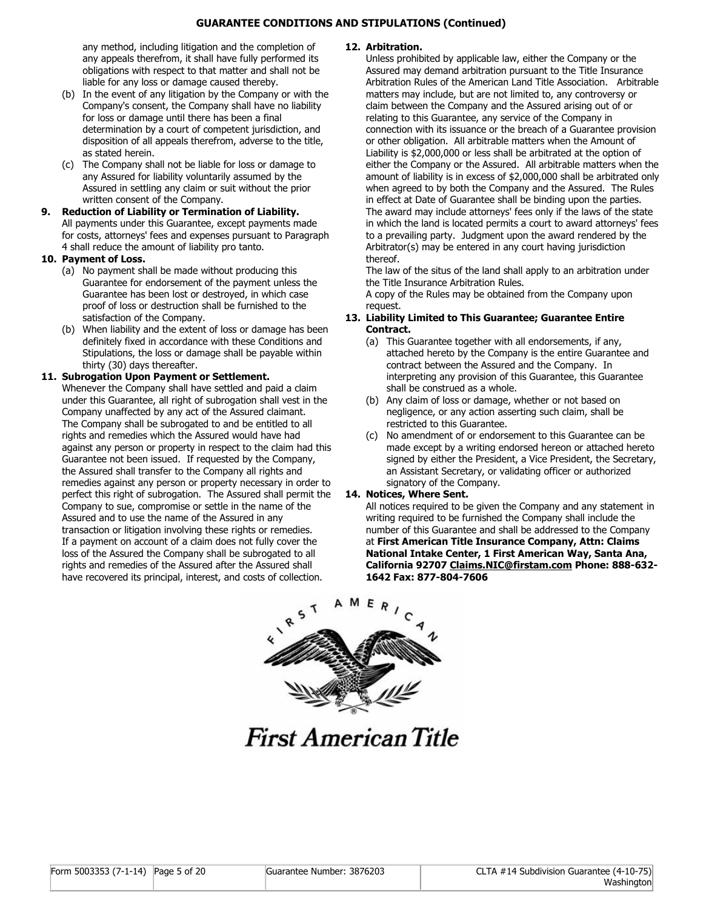#### **GUARANTEE CONDITIONS AND STIPULATIONS (Continued)**

any method, including litigation and the completion of any appeals therefrom, it shall have fully performed its obligations with respect to that matter and shall not be liable for any loss or damage caused thereby.

- (b) In the event of any litigation by the Company or with the Company's consent, the Company shall have no liability for loss or damage until there has been a final determination by a court of competent jurisdiction, and disposition of all appeals therefrom, adverse to the title, as stated herein.
- (c) The Company shall not be liable for loss or damage to any Assured for liability voluntarily assumed by the Assured in settling any claim or suit without the prior written consent of the Company.
- **9. Reduction of Liability or Termination of Liability.** All payments under this Guarantee, except payments made for costs, attorneys' fees and expenses pursuant to Paragraph 4 shall reduce the amount of liability pro tanto.

#### **10. Payment of Loss.**

- (a) No payment shall be made without producing this Guarantee for endorsement of the payment unless the Guarantee has been lost or destroyed, in which case proof of loss or destruction shall be furnished to the satisfaction of the Company.
- (b) When liability and the extent of loss or damage has been definitely fixed in accordance with these Conditions and Stipulations, the loss or damage shall be payable within thirty (30) days thereafter.

#### **11. Subrogation Upon Payment or Settlement.**

Whenever the Company shall have settled and paid a claim under this Guarantee, all right of subrogation shall vest in the Company unaffected by any act of the Assured claimant. The Company shall be subrogated to and be entitled to all rights and remedies which the Assured would have had against any person or property in respect to the claim had this Guarantee not been issued. If requested by the Company, the Assured shall transfer to the Company all rights and remedies against any person or property necessary in order to perfect this right of subrogation. The Assured shall permit the Company to sue, compromise or settle in the name of the Assured and to use the name of the Assured in any transaction or litigation involving these rights or remedies. If a payment on account of a claim does not fully cover the loss of the Assured the Company shall be subrogated to all rights and remedies of the Assured after the Assured shall have recovered its principal, interest, and costs of collection.

#### **12. Arbitration.**

Unless prohibited by applicable law, either the Company or the Assured may demand arbitration pursuant to the Title Insurance Arbitration Rules of the American Land Title Association. Arbitrable matters may include, but are not limited to, any controversy or claim between the Company and the Assured arising out of or relating to this Guarantee, any service of the Company in connection with its issuance or the breach of a Guarantee provision or other obligation. All arbitrable matters when the Amount of Liability is \$2,000,000 or less shall be arbitrated at the option of either the Company or the Assured. All arbitrable matters when the amount of liability is in excess of \$2,000,000 shall be arbitrated only when agreed to by both the Company and the Assured. The Rules in effect at Date of Guarantee shall be binding upon the parties. The award may include attorneys' fees only if the laws of the state in which the land is located permits a court to award attorneys' fees to a prevailing party. Judgment upon the award rendered by the Arbitrator(s) may be entered in any court having jurisdiction thereof.

The law of the situs of the land shall apply to an arbitration under the Title Insurance Arbitration Rules.

A copy of the Rules may be obtained from the Company upon request.

#### **13. Liability Limited to This Guarantee; Guarantee Entire Contract.**

- (a) This Guarantee together with all endorsements, if any, attached hereto by the Company is the entire Guarantee and contract between the Assured and the Company. In interpreting any provision of this Guarantee, this Guarantee shall be construed as a whole.
- (b) Any claim of loss or damage, whether or not based on negligence, or any action asserting such claim, shall be restricted to this Guarantee.
- (c) No amendment of or endorsement to this Guarantee can be made except by a writing endorsed hereon or attached hereto signed by either the President, a Vice President, the Secretary, an Assistant Secretary, or validating officer or authorized signatory of the Company.

#### **14. Notices, Where Sent.**

All notices required to be given the Company and any statement in writing required to be furnished the Company shall include the number of this Guarantee and shall be addressed to the Company at **First American Title Insurance Company, Attn: Claims National Intake Center, 1 First American Way, Santa Ana, California 92707 Claims.NIC@firstam.com Phone: 888-632- 1642 Fax: 877-804-7606**



**First American Title**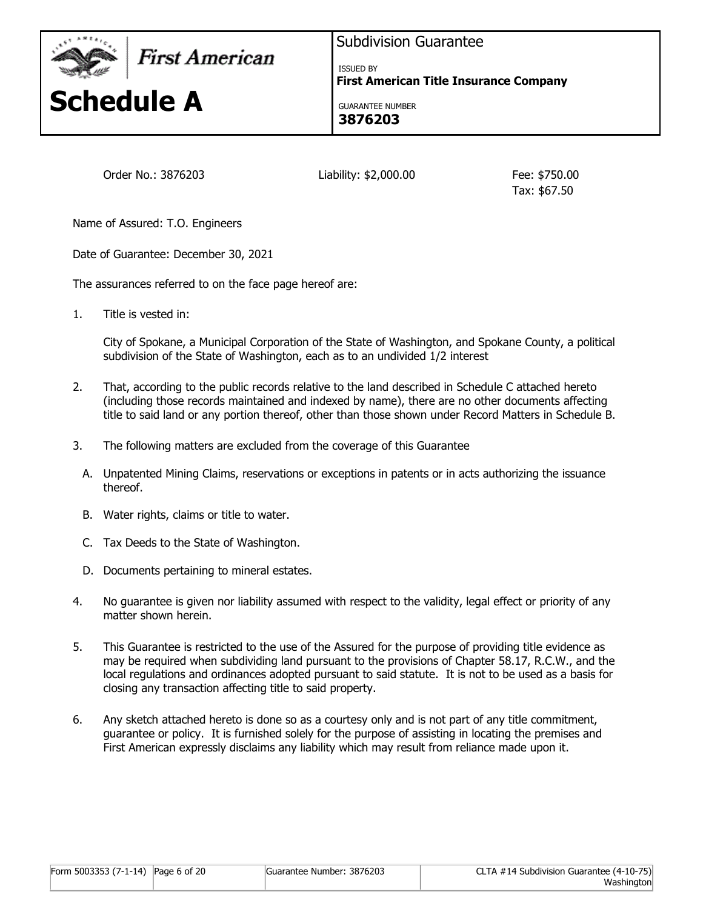

First American



Subdivision Guarantee

ISSUED BY **First American Title Insurance Company**

GUARANTEE NUMBER **3876203**

Order No.: 3876203 Liability: \$2,000.00 Fee: \$750.00

Tax: \$67.50

Name of Assured: T.O. Engineers

Date of Guarantee: December 30, 2021

The assurances referred to on the face page hereof are:

1. Title is vested in:

City of Spokane, a Municipal Corporation of the State of Washington, and Spokane County, a political subdivision of the State of Washington, each as to an undivided 1/2 interest

- 2. That, according to the public records relative to the land described in Schedule C attached hereto (including those records maintained and indexed by name), there are no other documents affecting title to said land or any portion thereof, other than those shown under Record Matters in Schedule B.
- 3. The following matters are excluded from the coverage of this Guarantee
	- A. Unpatented Mining Claims, reservations or exceptions in patents or in acts authorizing the issuance thereof.
	- B. Water rights, claims or title to water.
	- C. Tax Deeds to the State of Washington.
	- D. Documents pertaining to mineral estates.
- 4. No guarantee is given nor liability assumed with respect to the validity, legal effect or priority of any matter shown herein.
- 5. This Guarantee is restricted to the use of the Assured for the purpose of providing title evidence as may be required when subdividing land pursuant to the provisions of Chapter 58.17, R.C.W., and the local regulations and ordinances adopted pursuant to said statute. It is not to be used as a basis for closing any transaction affecting title to said property.
- 6. Any sketch attached hereto is done so as a courtesy only and is not part of any title commitment, guarantee or policy. It is furnished solely for the purpose of assisting in locating the premises and First American expressly disclaims any liability which may result from reliance made upon it.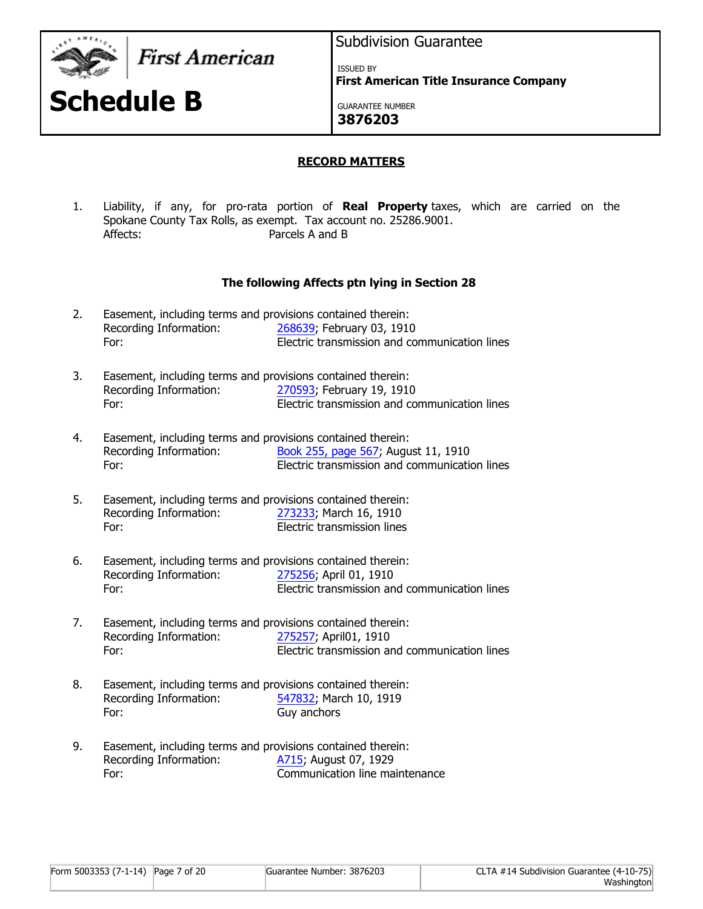

**Schedule B**

First American

# Subdivision Guarantee

ISSUED BY

**First American Title Insurance Company**

GUARANTEE NUMBER **3876203**

# **RECORD MATTERS**

1. Liability, if any, for pro-rata portion of **Real Property** taxes, which are carried on the Spokane County Tax Rolls, as exempt. Tax account no. 25286.9001. Affects: Parcels A and B

# **The following Affects ptn lying in Section 28**

| 2. | Easement, including terms and provisions contained therein: |                                               |
|----|-------------------------------------------------------------|-----------------------------------------------|
|    | Recording Information:                                      | 268639; February 03, 1910                     |
|    | For:                                                        | Electric transmission and communication lines |

- 3. Easement, including terms and provisions contained therein: Recording Information: [270593](https://ep.firstam.com/meta/index?m=6a1118f8-ec8f-4680-8a03-e9a08ae23427&q=c9hT0ieyptIYYLsYincyptMF016in2ccypt08dLiJziLjwGWtSRs%3d&h=6fe6e2aa-6c9a-467d-9ddd-8d7af8d60bb3&attach=true); February 19, 1910 For: Electric transmission and communication lines
- 4. Easement, including terms and provisions contained therein: Recording Information: [Book 255, page 567](https://ep.firstam.com/meta/index?m=6a1118f8-ec8f-4680-8a03-e9a08ae23427&q=c9hT0ieyptIYYLsYincyptMF016mIoW7IUd8LmaMv5mIc86zY%3d&h=5d72a791-3ce1-4736-9347-6c201c934446&attach=true); August 11, 1910 For: Electric transmission and communication lines
- 5. Easement, including terms and provisions contained therein: Recording Information: [273233](https://ep.firstam.com/meta/index?m=6a1118f8-ec8f-4680-8a03-e9a08ae23427&q=c9hT0ieyptIYYLsYincyptMF016vrZuNpzT9XjatqjS5eyptQyvM%3d&h=634bb930-8763-4b2f-a656-636f7c5ab26b&attach=true); March 16, 1910 For: Electric transmission lines
- 6. Easement, including terms and provisions contained therein: Recording Information: [275256](https://ep.firstam.com/meta/index?m=6a1118f8-ec8f-4680-8a03-e9a08ae23427&q=c9hT0ieyptIYYLsYincyptMF016g4BBbjYOF9MbTMJhKxAme0%3d&h=6f6b2fd6-48f9-4b26-9157-d91173a9cb8c&attach=true); April 01, 1910 For: Electric transmission and communication lines
- 7. Easement, including terms and provisions contained therein: Recording Information: [275257](https://ep.firstam.com/meta/index?m=6a1118f8-ec8f-4680-8a03-e9a08ae23427&q=c9hT0ieyptIYYLsYincyptMF016gJ5kASViDULZ7qCVaSph3s%3d&h=ef969a3f-dd40-4134-ab00-455273d0b35b&attach=true); April01, 1910 For: Electric transmission and communication lines
- 8. Easement, including terms and provisions contained therein: Recording Information: [547832](https://ep.firstam.com/meta/index?m=6a1118f8-ec8f-4680-8a03-e9a08ae23427&q=c9hT0ieyptIYYLsYincyptMF016gwVJHyao7sAHcypteyptFpZU41D8%3d&h=711b470a-7962-42be-bf41-076dc2a0a993&attach=true); March 10, 1919 For: Guy anchors
- 9. Easement, including terms and provisions contained therein: Recording Information: [A715](https://ep.firstam.com/meta/index?m=6a1118f8-ec8f-4680-8a03-e9a08ae23427&q=c9hT0ieyptIYYLsYincyptMF016oPxPItM1WcgBo1NCPkujQA%3d&h=520acf28-654d-4079-bbbd-95cf32f91ffc&attach=true); August 07, 1929 For: Communication line maintenance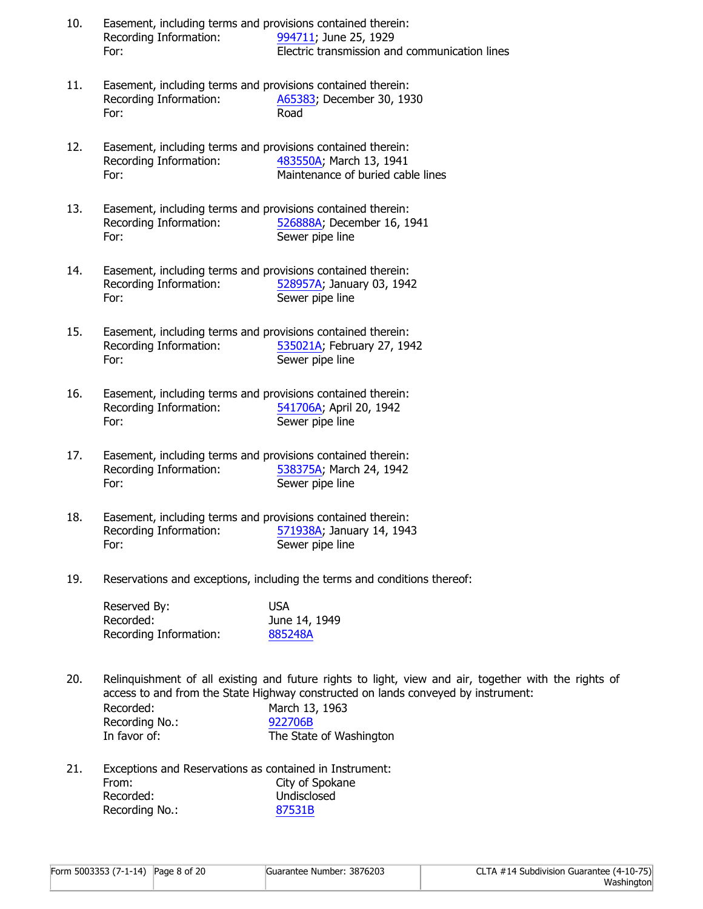- 10. Easement, including terms and provisions contained therein: Recording Information: [994711](https://ep.firstam.com/meta/index?m=6a1118f8-ec8f-4680-8a03-e9a08ae23427&q=c9hT0ieyptIYYLsYincyptMF016qZlUB7ii8uOVO2FLyobw4M%3d&h=9286384d-1dd1-4c30-b495-245f0d4a02df&attach=true); June 25, 1929 For: Electric transmission and communication lines
- 11. Easement, including terms and provisions contained therein: Recording Information: [A65383;](https://ep.firstam.com/meta/index?m=6a1118f8-ec8f-4680-8a03-e9a08ae23427&q=c9hT0ieyptIYYLsYincyptMF016gQuyKLj9nFeHJnmR7AUFkk%3d&h=d682905a-6ff6-403f-b968-a06602843545&attach=true) December 30, 1930 For: Road
- 12. Easement, including terms and provisions contained therein: Recording Information: [483550A](https://ep.firstam.com/meta/index?m=6a1118f8-ec8f-4680-8a03-e9a08ae23427&q=c9hT0ieyptIYYLsYincyptMF016tp4JO3lcyptTLTnvWyY4o2SXg%3d&h=fb8ae04c-a0e9-44ee-bddd-35aee5b85acd&attach=true); March 13, 1941 For: Maintenance of buried cable lines
- 13. Easement, including terms and provisions contained therein: Recording Information: [526888A](https://ep.firstam.com/meta/index?m=6a1118f8-ec8f-4680-8a03-e9a08ae23427&q=c9hT0ieyptIYYLsYincyptMF016gURkW8cypt0HcpkQtncyptnnphRc%3d&h=bfac2af4-3353-4705-b53c-86dabd85e800&attach=true); December 16, 1941 For: Sewer pipe line
- 14. Easement, including terms and provisions contained therein: Recording Information: [528957A](https://ep.firstam.com/meta/index?m=6a1118f8-ec8f-4680-8a03-e9a08ae23427&q=c9hT0ieyptIYYLsYincyptMF016r4CEdFePININndFJmXMwOk%3d&h=cdfa6330-077e-490d-ab29-ae66ab2b1dd8&attach=true); January 03, 1942 For: Sewer pipe line
- 15. Easement, including terms and provisions contained therein: Recording Information: [535021A](https://ep.firstam.com/meta/index?m=6a1118f8-ec8f-4680-8a03-e9a08ae23427&q=c9hT0ieyptIYYLsYincyptMF016iVWyYUGWgaRgwJXjsyqeUc%3d&h=a10001f2-f55a-4319-84b6-b489d1532b2b&attach=true); February 27, 1942 For: Sewer pipe line
- 16. Easement, including terms and provisions contained therein: Recording Information: [541706A](https://ep.firstam.com/meta/index?m=6a1118f8-ec8f-4680-8a03-e9a08ae23427&q=c9hT0ieyptIYYLsYincyptMF016srcyptLDlP4pCqa6c4cyptOYpIqU%3d&h=b1ca6fcc-ff8b-4e72-8d10-1250a077dc0c&attach=true); April 20, 1942 For: Sewer pipe line
- 17. Easement, including terms and provisions contained therein: Recording Information: [538375A](https://ep.firstam.com/meta/index?m=6a1118f8-ec8f-4680-8a03-e9a08ae23427&q=c9hT0ieyptIYYLsYincyptMF016lpGpRfeyptRgHiIG7e4VMzdBc%3d&h=313df6fd-6672-44ba-b6d7-ab446a2f3ee1&attach=true); March 24, 1942 For: Sewer pipe line
- 18. Easement, including terms and provisions contained therein: Recording Information: [571938A](https://ep.firstam.com/meta/index?m=6a1118f8-ec8f-4680-8a03-e9a08ae23427&q=c9hT0ieyptIYYLsYincyptMF016r7Uhkz7SMreyptofiBwgH8Ijk%3d&h=9bc688ae-e6b0-45f5-b79a-2cc03b2a71cb&attach=true); January 14, 1943 For: Sewer pipe line
- 19. Reservations and exceptions, including the terms and conditions thereof:

| Reserved By:           | USA           |
|------------------------|---------------|
| Recorded:              | June 14, 1949 |
| Recording Information: | 885248A       |

20. Relinquishment of all existing and future rights to light, view and air, together with the rights of access to and from the State Highway constructed on lands conveyed by instrument: Recorded: March 13, 1963 Recording No.: [922706B](https://ep.firstam.com/meta/index?m=6a1118f8-ec8f-4680-8a03-e9a08ae23427&q=c9hT0ieyptIYYLsYincyptMF016oc3MBoz2UcyptqaqVcPivBo5I%3d&h=9f17d8bd-7aff-4f0a-986a-41af9819c26a&attach=true)

| Recording No.: | 922706B                 |
|----------------|-------------------------|
| In favor of:   | The State of Washington |

21. Exceptions and Reservations as contained in Instrument: From: City of Spokane Recorded: Undisclosed Recording No.: [87531B](https://ep.firstam.com/meta/index?m=6a1118f8-ec8f-4680-8a03-e9a08ae23427&q=c9hT0ieyptIYYLsYincyptMF016gbP4uCeieKCryKH49uemfE%3d&h=534e8a9a-1459-4fcc-a320-f3d5ff3a7797&attach=true)

| Form 5003353 (7-1-14) Page 8 of 20 | Guarantee Number: 3876203 | CLTA #14 Subdivision Guarantee (4-10-75) |
|------------------------------------|---------------------------|------------------------------------------|
|                                    |                           | Washington                               |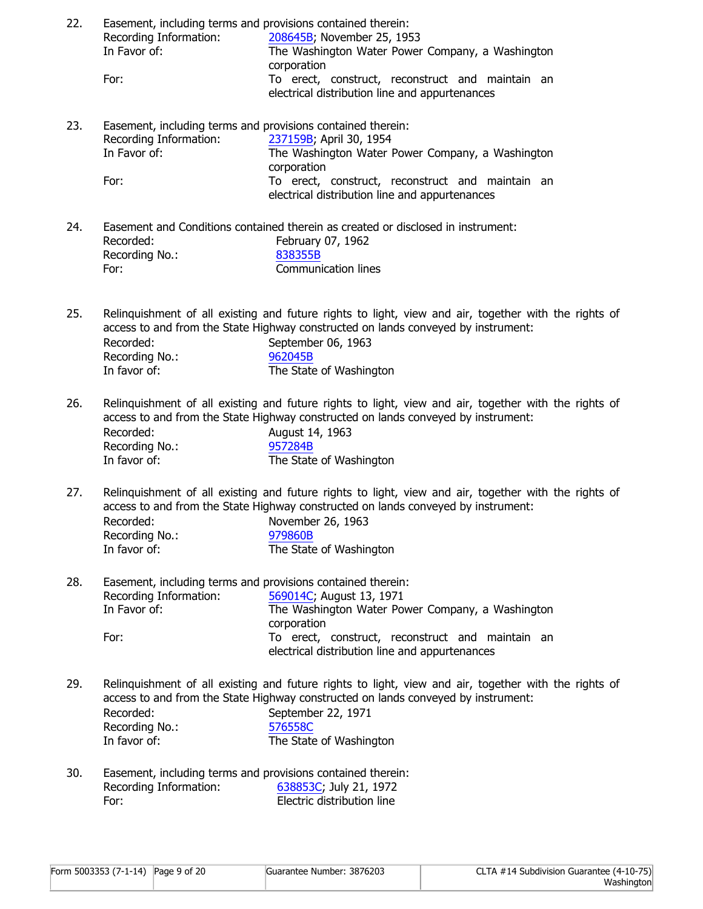| 22. | Easement, including terms and provisions contained therein: |                                                                                                                                                                                           |
|-----|-------------------------------------------------------------|-------------------------------------------------------------------------------------------------------------------------------------------------------------------------------------------|
|     | Recording Information:                                      | 208645B; November 25, 1953                                                                                                                                                                |
|     | In Favor of:                                                | The Washington Water Power Company, a Washington                                                                                                                                          |
|     | For:                                                        | corporation<br>To erect, construct, reconstruct and maintain an                                                                                                                           |
|     |                                                             | electrical distribution line and appurtenances                                                                                                                                            |
| 23. | Easement, including terms and provisions contained therein: |                                                                                                                                                                                           |
|     | Recording Information:                                      | 237159B; April 30, 1954                                                                                                                                                                   |
|     | In Favor of:                                                | The Washington Water Power Company, a Washington                                                                                                                                          |
|     | For:                                                        | corporation                                                                                                                                                                               |
|     |                                                             | To erect, construct, reconstruct and maintain an<br>electrical distribution line and appurtenances                                                                                        |
| 24. |                                                             | Easement and Conditions contained therein as created or disclosed in instrument:                                                                                                          |
|     | Recorded:                                                   | February 07, 1962                                                                                                                                                                         |
|     | Recording No.:                                              | 838355B<br><b>Communication lines</b>                                                                                                                                                     |
|     | For:                                                        |                                                                                                                                                                                           |
| 25. |                                                             | Relinquishment of all existing and future rights to light, view and air, together with the rights of<br>access to and from the State Highway constructed on lands conveyed by instrument: |
|     | Recorded:                                                   | September 06, 1963                                                                                                                                                                        |
|     | Recording No.:                                              | 962045B                                                                                                                                                                                   |
|     | In favor of:                                                | The State of Washington                                                                                                                                                                   |
| 26. |                                                             | Relinquishment of all existing and future rights to light, view and air, together with the rights of<br>access to and from the State Highway constructed on lands conveyed by instrument: |
|     | Recorded:                                                   | August 14, 1963                                                                                                                                                                           |
|     | Recording No.:                                              | 957284B                                                                                                                                                                                   |
|     | In favor of:                                                | The State of Washington                                                                                                                                                                   |
| 27. |                                                             | Relinquishment of all existing and future rights to light, view and air, together with the rights of<br>access to and from the State Highway constructed on lands conveyed by instrument: |
|     | Recorded:<br>Recording No.:                                 | November 26, 1963<br>979860B                                                                                                                                                              |
|     | In favor of:                                                | The State of Washington                                                                                                                                                                   |
| 28. | Easement, including terms and provisions contained therein: |                                                                                                                                                                                           |
|     | Recording Information:                                      | 569014C; August 13, 1971                                                                                                                                                                  |
|     | In Favor of:                                                | The Washington Water Power Company, a Washington                                                                                                                                          |
|     | For:                                                        | corporation<br>To erect, construct, reconstruct and maintain an                                                                                                                           |
|     |                                                             | electrical distribution line and appurtenances                                                                                                                                            |
| 29. |                                                             | Relinquishment of all existing and future rights to light, view and air, together with the rights of<br>access to and from the State Highway constructed on lands conveyed by instrument: |
|     | Recorded:                                                   | September 22, 1971                                                                                                                                                                        |
|     | Recording No.:<br>In favor of:                              | 576558C<br>The State of Washington                                                                                                                                                        |
| 30. | Easement, including terms and provisions contained therein: |                                                                                                                                                                                           |
|     | Recording Information:                                      | 638853C; July 21, 1972                                                                                                                                                                    |
|     | For:                                                        | Electric distribution line                                                                                                                                                                |
|     |                                                             |                                                                                                                                                                                           |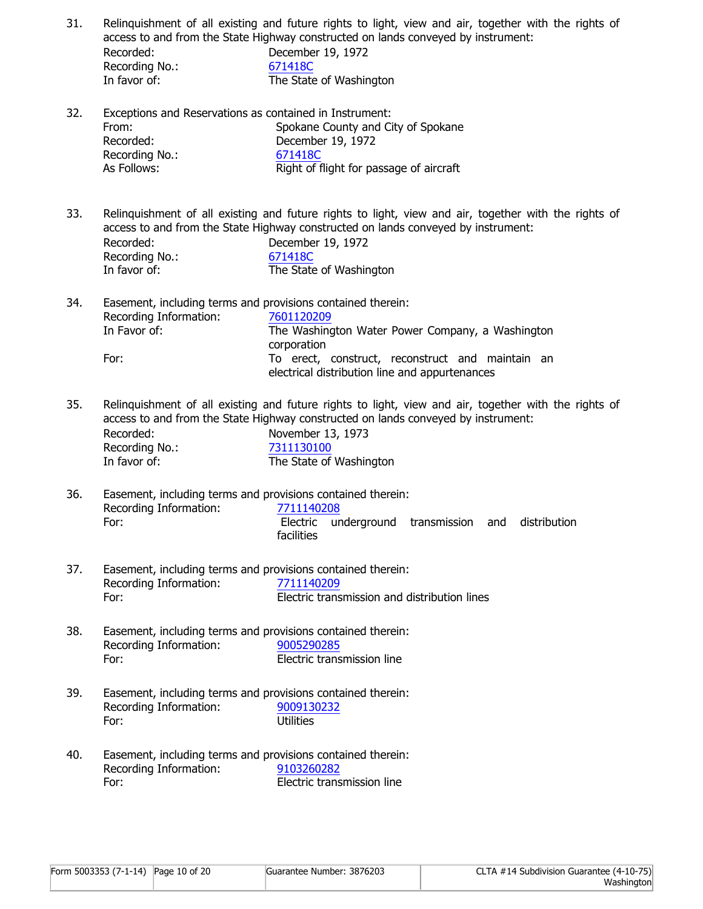| 31. | Recorded:<br>Recording No.:<br>In favor of:                                                                    | Relinquishment of all existing and future rights to light, view and air, together with the rights of<br>access to and from the State Highway constructed on lands conveyed by instrument:<br>December 19, 1972<br>671418C<br>The State of Washington    |
|-----|----------------------------------------------------------------------------------------------------------------|---------------------------------------------------------------------------------------------------------------------------------------------------------------------------------------------------------------------------------------------------------|
| 32. | Exceptions and Reservations as contained in Instrument:<br>From:<br>Recorded:<br>Recording No.:<br>As Follows: | Spokane County and City of Spokane<br>December 19, 1972<br>671418C<br>Right of flight for passage of aircraft                                                                                                                                           |
| 33. | Recorded:<br>Recording No.:<br>In favor of:                                                                    | Relinquishment of all existing and future rights to light, view and air, together with the rights of<br>access to and from the State Highway constructed on lands conveyed by instrument:<br>December 19, 1972<br>671418C<br>The State of Washington    |
| 34. | Easement, including terms and provisions contained therein:<br>Recording Information:<br>In Favor of:<br>For:  | 7601120209<br>The Washington Water Power Company, a Washington<br>corporation<br>To erect, construct, reconstruct and maintain an<br>electrical distribution line and appurtenances                                                                     |
| 35. | Recorded:<br>Recording No.:<br>In favor of:                                                                    | Relinquishment of all existing and future rights to light, view and air, together with the rights of<br>access to and from the State Highway constructed on lands conveyed by instrument:<br>November 13, 1973<br>7311130100<br>The State of Washington |
| 36. | Easement, including terms and provisions contained therein:<br>Recording Information:<br>For:                  | 7711140208<br>Electric underground transmission and distribution<br>facilities                                                                                                                                                                          |
| 37. | Easement, including terms and provisions contained therein:<br>Recording Information:<br>For:                  | 7711140209<br>Electric transmission and distribution lines                                                                                                                                                                                              |
| 38. | Easement, including terms and provisions contained therein:<br>Recording Information:<br>For:                  | 9005290285<br>Electric transmission line                                                                                                                                                                                                                |
| 39. | Easement, including terms and provisions contained therein:<br>Recording Information:<br>For:                  | 9009130232<br><b>Utilities</b>                                                                                                                                                                                                                          |
| 40. | Easement, including terms and provisions contained therein:<br>Recording Information:<br>For:                  | 9103260282<br>Electric transmission line                                                                                                                                                                                                                |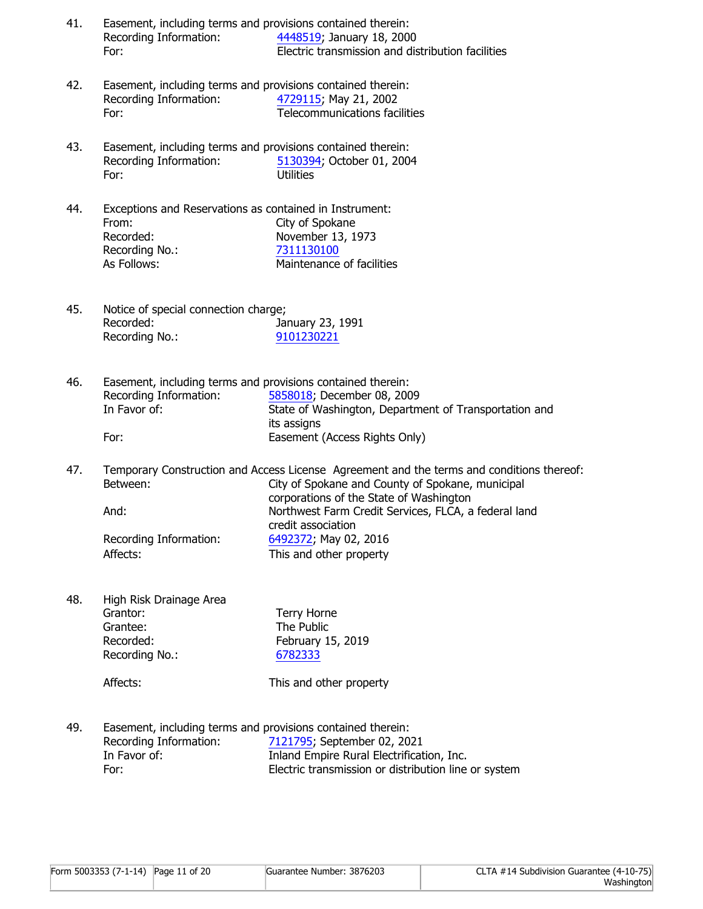| 41. | Easement, including terms and provisions contained therein: |                                                   |
|-----|-------------------------------------------------------------|---------------------------------------------------|
|     | Recording Information:                                      | 4448519; January 18, 2000                         |
|     | For:                                                        | Electric transmission and distribution facilities |

- 42. Easement, including terms and provisions contained therein: Recording Information: [4729115;](https://ep.firstam.com/meta/index?m=6a1118f8-ec8f-4680-8a03-e9a08ae23427&q=c9hT0ieyptIYYLsYincyptMF016mJyPOkdJPOZMAXSzpdUm8E%3d&h=3af31bcf-f666-4547-8747-b4fb13be1dae&attach=true) May 21, 2002 For: Telecommunications facilities
- 43. Easement, including terms and provisions contained therein: Recording Information: [5130394;](https://ep.firstam.com/meta/index?m=6a1118f8-ec8f-4680-8a03-e9a08ae23427&q=c9hT0ieyptIYYLsYincyptMF016grE8HL2JUAop8Z5v5u6kBs%3d&h=ad55cd44-5c5b-4b2c-bf1c-a745c883dd7f&attach=true) October 01, 2004 For: Utilities
- 44. Exceptions and Reservations as contained in Instrument: From: City of Spokane Recorded: November 13, 1973 Recording No.: [7311130100](https://ep.firstam.com/meta/index?m=6a1118f8-ec8f-4680-8a03-e9a08ae23427&q=c9hT0ieyptIYYLsYincyptMF016vXhtQqXJAnV4RD3gYMSKdk%3d&h=f44a54e5-b895-4610-ae8d-5ee582bd1bb0&attach=true) As Follows: Maintenance of facilities
- 45. Notice of special connection charge; Recorded: January 23, 1991 Recording No.: [9101230221](https://ep.firstam.com/meta/index?m=6a1118f8-ec8f-4680-8a03-e9a08ae23427&q=c9hT0ieyptIYYLsYincyptMF016tIkJTxgbKdBKegmV8xvDnU%3d&h=d8c05c63-a46b-42d4-b4f6-4377262ae4c7&attach=true)
- 46. Easement, including terms and provisions contained therein: Recording Information: [5858018](https://ep.firstam.com/meta/index?m=6a1118f8-ec8f-4680-8a03-e9a08ae23427&q=c9hT0ieyptIYYLsYincyptMF016krvNaOeyptcyptoTenuEE2mkRIuI%3d&h=d5eb428d-c0fd-4ef9-bfce-d8dede4bfb28&attach=true); December 08, 2009 In Favor of: State of Washington, Department of Transportation and its assigns For: Easement (Access Rights Only)
- 47. Temporary Construction and Access License Agreement and the terms and conditions thereof: Between: City of Spokane and County of Spokane, municipal corporations of the State of Washington And: Northwest Farm Credit Services, FLCA, a federal land credit association Recording Information: [6492372](https://ep.firstam.com/meta/index?m=6a1118f8-ec8f-4680-8a03-e9a08ae23427&q=c9hT0ieyptIYYLsYincyptMF016geTEPKib1ltrHak1L3ce2Y%3d&h=8327daf3-991d-4de2-a21a-ffe1f9bbb494&attach=true); May 02, 2016 Affects: This and other property
- 48. High Risk Drainage Area Grantor: Terry Horne Grantee: The Public Recorded: February 15, 2019 Recording No.: [6782333](https://ep.firstam.com/meta/index?m=6a1118f8-ec8f-4680-8a03-e9a08ae23427&q=c9hT0ieyptIYYLsYincyptMF016tx6AAMdi56Wr8vTyOEH2ng%3d&h=e429e1e2-1919-4409-b8fd-21dbfcac04dd&attach=true)

Affects: This and other property

49. Easement, including terms and provisions contained therein: Recording Information: [7121795](https://ep.firstam.com/meta/index?m=6a1118f8-ec8f-4680-8a03-e9a08ae23427&q=c9hT0ieyptIYYLsYincyptMF016nBWfjnueZeteQQeyptbDD6XZk%3d&h=08bd9077-871d-46af-9013-dc93f9072485&attach=true); September 02, 2021 In Favor of: Inland Empire Rural Electrification, Inc. For: Electric transmission or distribution line or system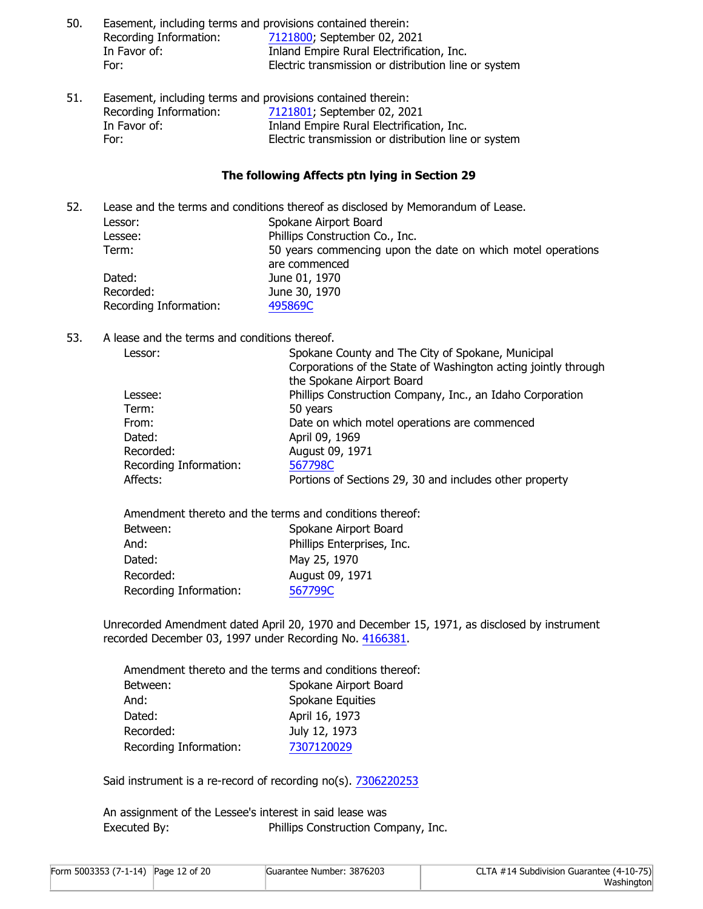| 50. | Easement, including terms and provisions contained therein: |                                                      |
|-----|-------------------------------------------------------------|------------------------------------------------------|
|     | Recording Information:                                      | 7121800, September 02, 2021                          |
|     | In Favor of:                                                | Inland Empire Rural Electrification, Inc.            |
|     | For:                                                        | Electric transmission or distribution line or system |
|     |                                                             |                                                      |

51. Easement, including terms and provisions contained therein: Recording Information: [7121801](https://ep.firstam.com/meta/index?m=6a1118f8-ec8f-4680-8a03-e9a08ae23427&q=c9hT0ieyptIYYLsYincyptMF016j5S1ftlnYPkcms3PeyptY72HQ%3d&h=84b0df1d-685e-4d4c-90eb-96a1f8392031&attach=true); September 02, 2021 In Favor of: Inland Empire Rural Electrification, Inc. For: Electric transmission or distribution line or system

#### **The following Affects ptn lying in Section 29**

| 52. |                        | Lease and the terms and conditions thereof as disclosed by Memorandum of Lease. |
|-----|------------------------|---------------------------------------------------------------------------------|
|     | Lessor:                | Spokane Airport Board                                                           |
|     | Lessee:                | Phillips Construction Co., Inc.                                                 |
|     | Term:                  | 50 years commencing upon the date on which motel operations                     |
|     |                        | are commenced                                                                   |
|     | Dated:                 | June 01, 1970                                                                   |
|     | Recorded:              | June 30, 1970                                                                   |
|     | Recording Information: | 495869C                                                                         |
|     |                        |                                                                                 |

## 53. A lease and the terms and conditions thereof.

| Spokane County and The City of Spokane, Municipal              |
|----------------------------------------------------------------|
| Corporations of the State of Washington acting jointly through |
| the Spokane Airport Board                                      |
| Phillips Construction Company, Inc., an Idaho Corporation      |
| 50 years                                                       |
| Date on which motel operations are commenced                   |
| April 09, 1969                                                 |
| August 09, 1971                                                |
| 567798C                                                        |
| Portions of Sections 29, 30 and includes other property        |
|                                                                |

Amendment thereto and the terms and conditions thereof: Between: Spokane Airport Board And: Phillips Enterprises, Inc. Dated: May 25, 1970 Recorded: August 09, 1971 Recording Information: [567799C](https://ep.firstam.com/meta/index?m=6a1118f8-ec8f-4680-8a03-e9a08ae23427&q=c9hT0ieyptIYYLsYincyptMF016v7Nk70HLPO0fXbPZAam06M%3d&h=0e04e71e-ee5d-4555-b2e2-b68e9bebdd76&attach=true)

Unrecorded Amendment dated April 20, 1970 and December 15, 1971, as disclosed by instrument recorded December 03, 1997 under Recording No. [4166381](https://ep.firstam.com/meta/index?m=6a1118f8-ec8f-4680-8a03-e9a08ae23427&q=c9hT0ieyptIYYLsYincyptMF016gM6eHweS0WBUUiijRYYIh0%3d&h=349f2118-7da0-4cc1-b42c-8ff4de0f7cd5&attach=true).

|                        | Amendment thereto and the terms and conditions thereof: |
|------------------------|---------------------------------------------------------|
| Between:               | Spokane Airport Board                                   |
| And:                   | Spokane Equities                                        |
| Dated:                 | April 16, 1973                                          |
| Recorded:              | July 12, 1973                                           |
| Recording Information: | 7307120029                                              |

Said instrument is a re-record of recording no(s). [7306220253](https://ep.firstam.com/meta/index?m=6a1118f8-ec8f-4680-8a03-e9a08ae23427&q=c9hT0ieyptIYYLsYincyptMF016veHeyptj9zjIs1gVEVVuQ7OiE%3d&h=1af1c5e9-2d30-44af-853f-b5e5c45e158f&attach=true)

An assignment of the Lessee's interest in said lease was Executed By: Phillips Construction Company, Inc.

| Form 5003353 (7-1-14) Page 12 of 20 | Guarantee Number: 3876203 | CLTA #14 Subdivision Guarantee (4-10-75) |
|-------------------------------------|---------------------------|------------------------------------------|
|                                     |                           | Washington                               |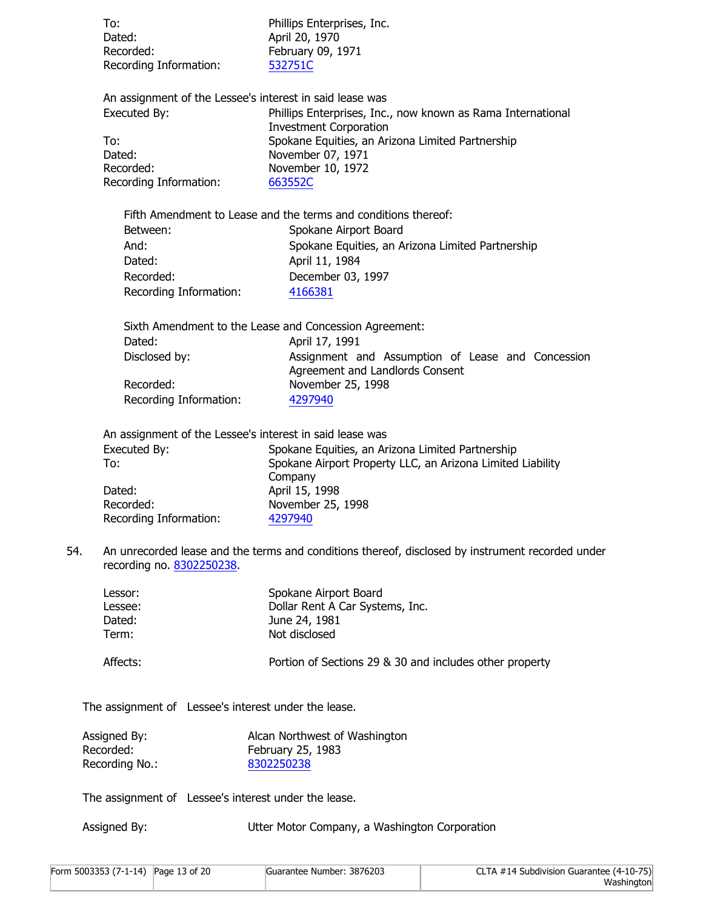|     | To:<br>Dated:<br>Recorded:<br>Recording Information:                 | Phillips Enterprises, Inc.<br>April 20, 1970<br>February 09, 1971<br>532751C                                                                                                                                                                                      |
|-----|----------------------------------------------------------------------|-------------------------------------------------------------------------------------------------------------------------------------------------------------------------------------------------------------------------------------------------------------------|
|     | Executed By:<br>To:<br>Dated:<br>Recorded:<br>Recording Information: | An assignment of the Lessee's interest in said lease was<br>Phillips Enterprises, Inc., now known as Rama International<br><b>Investment Corporation</b><br>Spokane Equities, an Arizona Limited Partnership<br>November 07, 1971<br>November 10, 1972<br>663552C |
|     | Between:<br>And:<br>Dated:<br>Recorded:<br>Recording Information:    | Fifth Amendment to Lease and the terms and conditions thereof:<br>Spokane Airport Board<br>Spokane Equities, an Arizona Limited Partnership<br>April 11, 1984<br>December 03, 1997<br>4166381                                                                     |
|     | Dated:<br>Disclosed by:<br>Recorded:<br>Recording Information:       | Sixth Amendment to the Lease and Concession Agreement:<br>April 17, 1991<br>Assignment and Assumption of Lease and Concession<br>Agreement and Landlords Consent<br>November 25, 1998<br>4297940                                                                  |
|     | Executed By:<br>To:<br>Dated:<br>Recorded:<br>Recording Information: | An assignment of the Lessee's interest in said lease was<br>Spokane Equities, an Arizona Limited Partnership<br>Spokane Airport Property LLC, an Arizona Limited Liability<br>Company<br>April 15, 1998<br>November 25, 1998<br>4297940                           |
| 54. | recording no. 8302250238.                                            | An unrecorded lease and the terms and conditions thereof, disclosed by instrument recorded under                                                                                                                                                                  |
|     | Lessor:<br>Lessee:<br>Dated:<br>Term:                                | Spokane Airport Board<br>Dollar Rent A Car Systems, Inc.<br>June 24, 1981<br>Not disclosed                                                                                                                                                                        |
|     | Affects:                                                             | Portion of Sections 29 & 30 and includes other property                                                                                                                                                                                                           |
|     | The assignment of Lessee's interest under the lease.                 |                                                                                                                                                                                                                                                                   |
|     | Assigned By:<br>Recorded:<br>Recording No.:                          | Alcan Northwest of Washington<br>February 25, 1983<br>8302250238                                                                                                                                                                                                  |
|     | The assignment of Lessee's interest under the lease.                 |                                                                                                                                                                                                                                                                   |
|     | Assigned By:                                                         | Utter Motor Company, a Washington Corporation                                                                                                                                                                                                                     |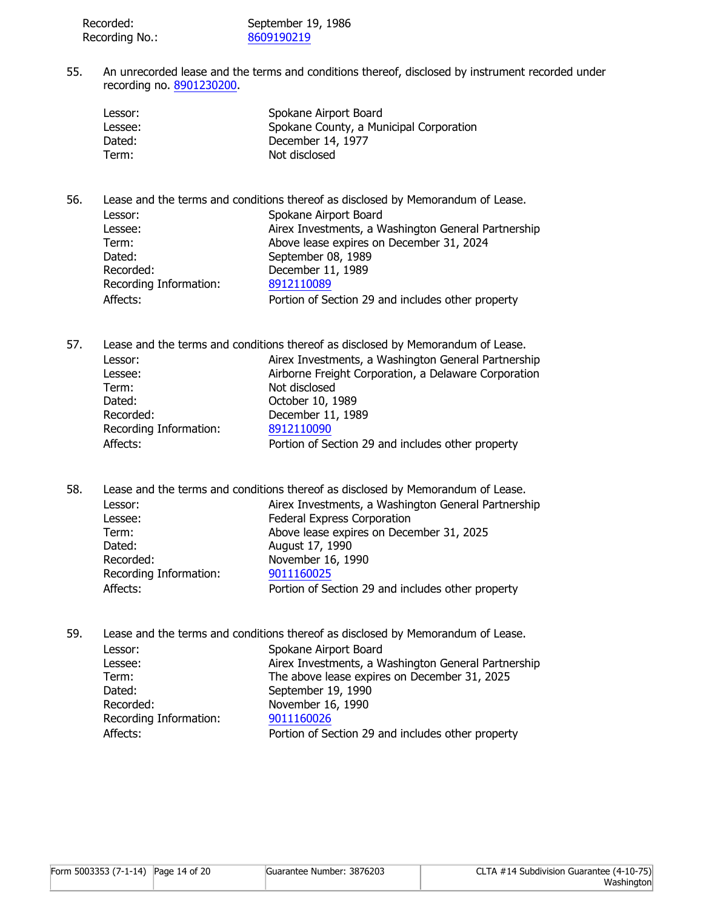| Recorded:      | September 19, 1986 |
|----------------|--------------------|
| Recording No.: | 8609190219         |

55. An unrecorded lease and the terms and conditions thereof, disclosed by instrument recorded under recording no. [8901230200](https://ep.firstam.com/meta/index?m=6a1118f8-ec8f-4680-8a03-e9a08ae23427&q=c9hT0ieyptIYYLsYincyptMF016pqQdgYaXcypthqVI4IQlzZrWM%3d&h=0d7b7402-9811-45b2-bfb5-c053efcc541a&attach=true).

| Lessor: | Spokane Airport Board                   |
|---------|-----------------------------------------|
| Lessee: | Spokane County, a Municipal Corporation |
| Dated:  | December 14, 1977                       |
| Term:   | Not disclosed                           |

56. Lease and the terms and conditions thereof as disclosed by Memorandum of Lease.

| Lessor:                | Spokane Airport Board                               |
|------------------------|-----------------------------------------------------|
| Lessee:                | Airex Investments, a Washington General Partnership |
| Term:                  | Above lease expires on December 31, 2024            |
| Dated:                 | September 08, 1989                                  |
| Recorded:              | December 11, 1989                                   |
| Recording Information: | 8912110089                                          |
| Affects:               | Portion of Section 29 and includes other property   |
|                        |                                                     |

57. Lease and the terms and conditions thereof as disclosed by Memorandum of Lease. Lessor: **Airex Investments, a Washington General Partnership** Lessee: Airborne Freight Corporation, a Delaware Corporation Term: Not disclosed Dated: **October 10, 1989** Recorded: December 11, 1989 Recording Information: [8912110090](https://ep.firstam.com/meta/index?m=6a1118f8-ec8f-4680-8a03-e9a08ae23427&q=c9hT0ieyptIYYLsYincyptMF016hjWDj6mPd4Og5bo4eyptet668%3d&h=7cd9058a-35fd-41d6-8832-3611d121c6f7&attach=true) Affects: **Portion of Section 29 and includes other property** 

58. Lease and the terms and conditions thereof as disclosed by Memorandum of Lease. Lessor: Airex Investments, a Washington General Partnership Lessee: Federal Express Corporation Term: Above lease expires on December 31, 2025 Dated: **August 17, 1990** Recorded: November 16, 1990 Recording Information: [9011160025](https://ep.firstam.com/meta/index?m=6a1118f8-ec8f-4680-8a03-e9a08ae23427&q=c9hT0ieyptIYYLsYincyptMF016qKlpcqCgZOI38b5KXEjgHA%3d&h=7caacf52-5540-4cbc-b669-cb0ba77827f1&attach=true) Affects: **Portion of Section 29 and includes other property** 

59. Lease and the terms and conditions thereof as disclosed by Memorandum of Lease.

| Spokane Airport Board                               |
|-----------------------------------------------------|
| Airex Investments, a Washington General Partnership |
| The above lease expires on December 31, 2025        |
| September 19, 1990                                  |
| November 16, 1990                                   |
| 9011160026                                          |
| Portion of Section 29 and includes other property   |
|                                                     |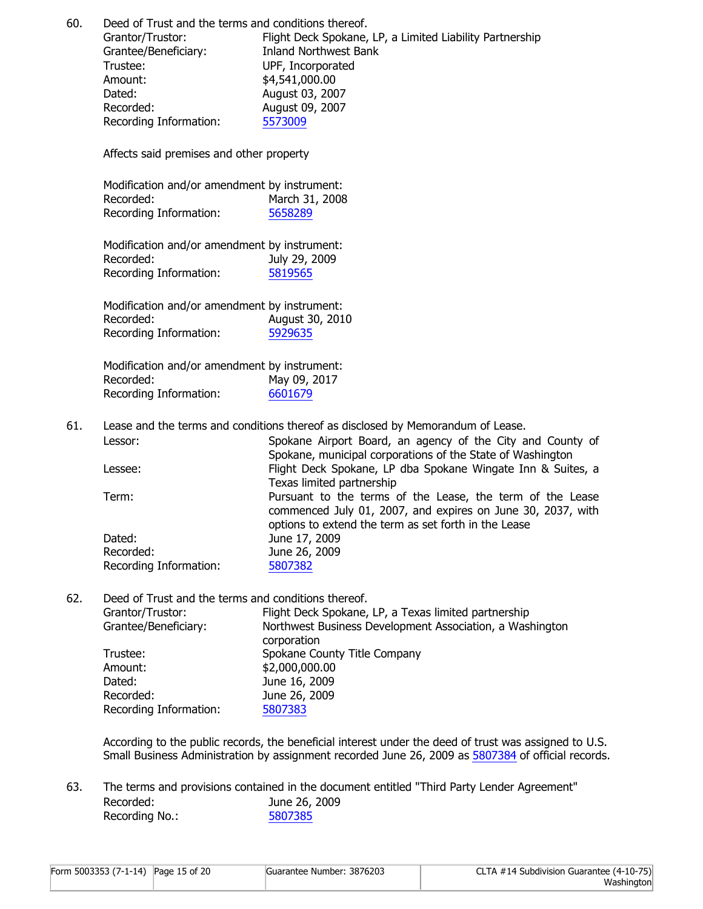60. Deed of Trust and the terms and conditions thereof.

Grantor/Trustor: Flight Deck Spokane, LP, a Limited Liability Partnership Grantee/Beneficiary: Inland Northwest Bank Trustee: UPF, Incorporated Amount:  $$4,541,000.00$ Dated: **August 03, 2007** Recorded: August 09, 2007 Recording Information: [5573009](https://ep.firstam.com/meta/index?m=6a1118f8-ec8f-4680-8a03-e9a08ae23427&q=c9hT0ieyptIYYLsYincyptMF016vHceypthSejJ2uZkIaD8f2cyptV8%3d&h=1094450e-f700-4645-9f6e-1372e1e28538&attach=true)

Affects said premises and other property

| Modification and/or amendment by instrument: |                |
|----------------------------------------------|----------------|
| Recorded:                                    | March 31, 2008 |
| Recording Information:                       | 5658289        |

Modification and/or amendment by instrument: Recorded: July 29, 2009 Recording Information: [5819565](https://ep.firstam.com/meta/index?m=6a1118f8-ec8f-4680-8a03-e9a08ae23427&q=c9hT0ieyptIYYLsYincyptMF016lC837k6lcyptwcypt5eypt8FjZWvax4%3d&h=da1792f7-d0c8-4c8b-a94d-5cf13775b815&attach=true)

Modification and/or amendment by instrument: Recorded: August 30, 2010 Recording Information: [5929635](https://ep.firstam.com/meta/index?m=6a1118f8-ec8f-4680-8a03-e9a08ae23427&q=c9hT0ieyptIYYLsYincyptMF016r7ELoZ5Vyapb9bwlSxLLaY%3d&h=9767b48e-13b1-4590-b25e-4fca2d07f08f&attach=true)

Modification and/or amendment by instrument: Recorded: May 09, 2017 Recording Information: [6601679](https://ep.firstam.com/meta/index?m=6a1118f8-ec8f-4680-8a03-e9a08ae23427&q=c9hT0ieyptIYYLsYincyptMF016vQ7m8WEFogpbeyptrub9poh3c%3d&h=97b94516-8da5-4bfe-92a6-60d8c81096b9&attach=true)

61. Lease and the terms and conditions thereof as disclosed by Memorandum of Lease.

| Lessor:                | Spokane Airport Board, an agency of the City and County of<br>Spokane, municipal corporations of the State of Washington |
|------------------------|--------------------------------------------------------------------------------------------------------------------------|
|                        |                                                                                                                          |
| Lessee:                | Flight Deck Spokane, LP dba Spokane Wingate Inn & Suites, a                                                              |
|                        | Texas limited partnership                                                                                                |
| Term:                  | Pursuant to the terms of the Lease, the term of the Lease                                                                |
|                        | commenced July 01, 2007, and expires on June 30, 2037, with                                                              |
|                        | options to extend the term as set forth in the Lease                                                                     |
|                        |                                                                                                                          |
| Dated:                 | June 17, 2009                                                                                                            |
| Recorded:              | June 26, 2009                                                                                                            |
| Recording Information: | 5807382                                                                                                                  |
|                        |                                                                                                                          |

62. Deed of Trust and the terms and conditions thereof.

| Grantor/Trustor:       | Flight Deck Spokane, LP, a Texas limited partnership     |
|------------------------|----------------------------------------------------------|
| Grantee/Beneficiary:   | Northwest Business Development Association, a Washington |
|                        | corporation                                              |
| Trustee:               | Spokane County Title Company                             |
| Amount:                | \$2,000,000.00                                           |
| Dated:                 | June 16, 2009                                            |
| Recorded:              | June 26, 2009                                            |
| Recording Information: | 5807383                                                  |

According to the public records, the beneficial interest under the deed of trust was assigned to U.S. Small Business Administration by assignment recorded June 26, 2009 as [5807384](https://ep.firstam.com/meta/index?m=6a1118f8-ec8f-4680-8a03-e9a08ae23427&q=c9hT0ieyptIYYLsYincyptMF016uUbpl5dpUdxFeTwAz3BzvQ%3d&h=b98299d0-c647-4ecf-86fb-ce4075edc22b&attach=true) of official records.

63. The terms and provisions contained in the document entitled "Third Party Lender Agreement" Recorded: June 26, 2009 Recording No.: [5807385](https://ep.firstam.com/meta/index?m=6a1118f8-ec8f-4680-8a03-e9a08ae23427&q=OBg4iutbwC6Yoz40OEz6bPoq3NYzi8CgYBeyptEHpjF3Fg%3d&h=badd9d36-0049-4725-9ad6-161f5d393a65&attach=true)

| Form 5003353 (7-1-14) Page 15 of 20 | Guarantee Number: 3876203 | CLTA #14 Subdivision Guarantee (4-10-75) |
|-------------------------------------|---------------------------|------------------------------------------|
|                                     |                           | Washington                               |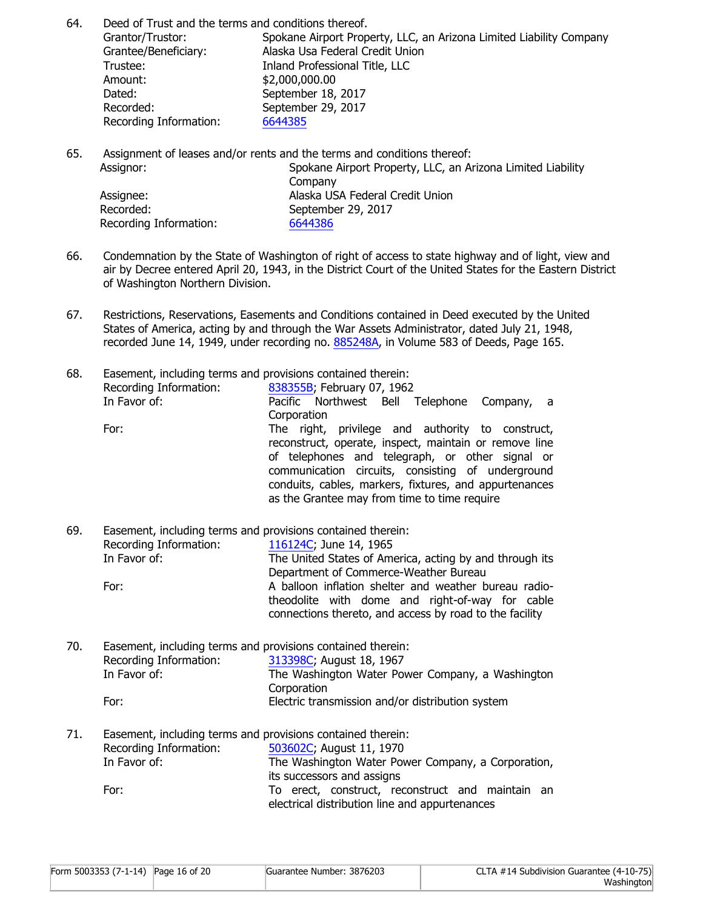64. Deed of Trust and the terms and conditions thereof.

Grantor/Trustor: Spokane Airport Property, LLC, an Arizona Limited Liability Company Grantee/Beneficiary: Alaska Usa Federal Credit Union Trustee: Inland Professional Title, LLC Amount: \$2,000,000.00 Dated: September 18, 2017 Recorded: September 29, 2017 Recording Information: [6644385](https://ep.firstam.com/meta/index?m=6a1118f8-ec8f-4680-8a03-e9a08ae23427&q=OBg4iutbwC6Yoz40OEz6bDpRIR9GhdRET0DFf9PSDdg%3d&h=02aa852b-a57f-49d3-84e2-39b922c992d2&attach=true)

65. Assignment of leases and/or rents and the terms and conditions thereof:

| Assignor:              | Spokane Airport Property, LLC, an Arizona Limited Liability |
|------------------------|-------------------------------------------------------------|
|                        | Company                                                     |
| Assignee:              | Alaska USA Federal Credit Union                             |
| Recorded:              | September 29, 2017                                          |
| Recording Information: | 6644386                                                     |

- 66. Condemnation by the State of Washington of right of access to state highway and of light, view and air by Decree entered April 20, 1943, in the District Court of the United States for the Eastern District of Washington Northern Division.
- 67. Restrictions, Reservations, Easements and Conditions contained in Deed executed by the United States of America, acting by and through the War Assets Administrator, dated July 21, 1948, recorded June 14, 1949, under recording no. [885248A,](https://ep.firstam.com/meta/index?m=6a1118f8-ec8f-4680-8a03-e9a08ae23427&q=c9hT0ieyptIYYLsYincyptMF016vpp4BBy8F0qeyptdyNRPziyYw%3d&h=8b15d178-d3e0-4b06-9853-8b09d563d902&attach=true) in Volume 583 of Deeds, Page 165.

| 68. | Easement, including terms and provisions contained therein: |                                                        |
|-----|-------------------------------------------------------------|--------------------------------------------------------|
|     | Recording Information:                                      | 838355B; February 07, 1962                             |
|     | In Favor of:                                                | Pacific Northwest Bell Telephone Company, a            |
|     |                                                             | Corporation                                            |
|     | For:                                                        | The right, privilege and authority to construct,       |
|     |                                                             | reconstruct, operate, inspect, maintain or remove line |
|     |                                                             | of telephones and telegraph, or other signal or        |
|     |                                                             | communication circuits, consisting of underground      |
|     |                                                             | conduits, cables, markers, fixtures, and appurtenances |
|     |                                                             | as the Grantee may from time to time require           |
|     |                                                             |                                                        |

| 69.<br>Easement, including terms and provisions contained therein: |                        |                                                         |
|--------------------------------------------------------------------|------------------------|---------------------------------------------------------|
|                                                                    | Recording Information: | 116124C; June 14, 1965                                  |
|                                                                    | In Favor of:           | The United States of America, acting by and through its |
|                                                                    |                        | Department of Commerce-Weather Bureau                   |
| For:                                                               |                        | A balloon inflation shelter and weather bureau radio-   |
|                                                                    |                        | theodolite with dome and right-of-way for cable         |
|                                                                    |                        | connections thereto, and access by road to the facility |

| 70. | Easement, including terms and provisions contained therein: |                                                  |
|-----|-------------------------------------------------------------|--------------------------------------------------|
|     | Recording Information:                                      | 313398C; August 18, 1967                         |
|     | In Favor of:                                                | The Washington Water Power Company, a Washington |
|     |                                                             | Corporation                                      |
|     | For:                                                        | Electric transmission and/or distribution system |

71. Easement, including terms and provisions contained therein: Recording Information: [503602C;](https://ep.firstam.com/meta/index?m=6a1118f8-ec8f-4680-8a03-e9a08ae23427&q=OBg4iutbwC6Yoz40OEz6bMoMrRseypt6cyptpVxKq1ExYOCJY%3d&h=55c4a7b7-7a3a-41de-9abc-042ecec15570&attach=true) August 11, 1970 In Favor of: The Washington Water Power Company, a Corporation, its successors and assigns For: To erect, construct, reconstruct and maintain an electrical distribution line and appurtenances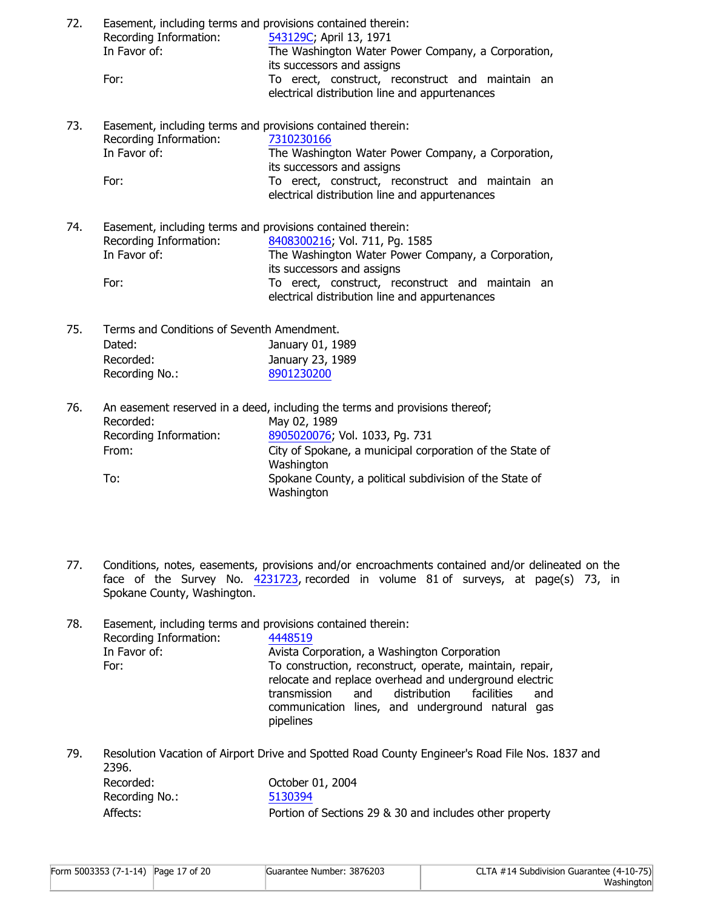| 72. | Easement, including terms and provisions contained therein:<br>Recording Information:<br>In Favor of:<br>For: | 543129C; April 13, 1971<br>The Washington Water Power Company, a Corporation,<br>its successors and assigns<br>To erect, construct, reconstruct and maintain an<br>electrical distribution line and appurtenances        |  |
|-----|---------------------------------------------------------------------------------------------------------------|--------------------------------------------------------------------------------------------------------------------------------------------------------------------------------------------------------------------------|--|
| 73. | Easement, including terms and provisions contained therein:<br>Recording Information:<br>In Favor of:<br>For: | 7310230166<br>The Washington Water Power Company, a Corporation,<br>its successors and assigns<br>To erect, construct, reconstruct and maintain an<br>electrical distribution line and appurtenances                     |  |
| 74. | Easement, including terms and provisions contained therein:<br>Recording Information:<br>In Favor of:<br>For: | 8408300216; Vol. 711, Pq. 1585<br>The Washington Water Power Company, a Corporation,<br>its successors and assigns<br>To erect, construct, reconstruct and maintain an<br>electrical distribution line and appurtenances |  |
| 75. | Terms and Conditions of Seventh Amendment.<br>Dated:<br>Recorded:<br>Recording No.:                           | January 01, 1989<br>January 23, 1989<br>8901230200                                                                                                                                                                       |  |
| 76. | Recorded:<br>Recording Information:<br>From:                                                                  | An easement reserved in a deed, including the terms and provisions thereof;<br>May 02, 1989<br>8905020076; Vol. 1033, Pg. 731<br>City of Spokane, a municipal corporation of the State of<br>Washington                  |  |

77. Conditions, notes, easements, provisions and/or encroachments contained and/or delineated on the face of the Survey No. [4231723,](https://ep.firstam.com/meta/index?m=6a1118f8-ec8f-4680-8a03-e9a08ae23427&q=OBg4iutbwC6Yoz40OEz6bPPYoymPvM2CekKwvN1j7yA%3d&h=f5ad79f8-b13a-4f97-a91b-0bbbea30f0b7&attach=true) recorded in volume 81 of surveys, at page(s) 73, in Spokane County, Washington.

To: Spokane County, a political subdivision of the State of

**Washington** 

| 78. |                        | Easement, including terms and provisions contained therein: |  |  |
|-----|------------------------|-------------------------------------------------------------|--|--|
|     | Recording Information: | 4448519                                                     |  |  |
|     | In Favor of:           | Avista Corporation, a Washington Corporation                |  |  |
|     | For:                   | To construction, reconstruct, operate, maintain, repair,    |  |  |
|     |                        | relocate and replace overhead and underground electric      |  |  |
|     |                        | distribution facilities<br>transmission<br>and<br>and       |  |  |
|     |                        | communication lines, and underground natural gas            |  |  |
|     |                        | pipelines                                                   |  |  |

79. Resolution Vacation of Airport Drive and Spotted Road County Engineer's Road File Nos. 1837 and 2396. Recorded: October 01, 2004 Recording No.:

| Recoraing No.: | 5130394                                                 |
|----------------|---------------------------------------------------------|
| Affects:       | Portion of Sections 29 & 30 and includes other property |

| Form 5003353 (7-1-14) Page 17 of 20 | Guarantee Number: 3876203 | CLTA #14 Subdivision Guarantee (4-10-75) |
|-------------------------------------|---------------------------|------------------------------------------|
|                                     |                           | Washington                               |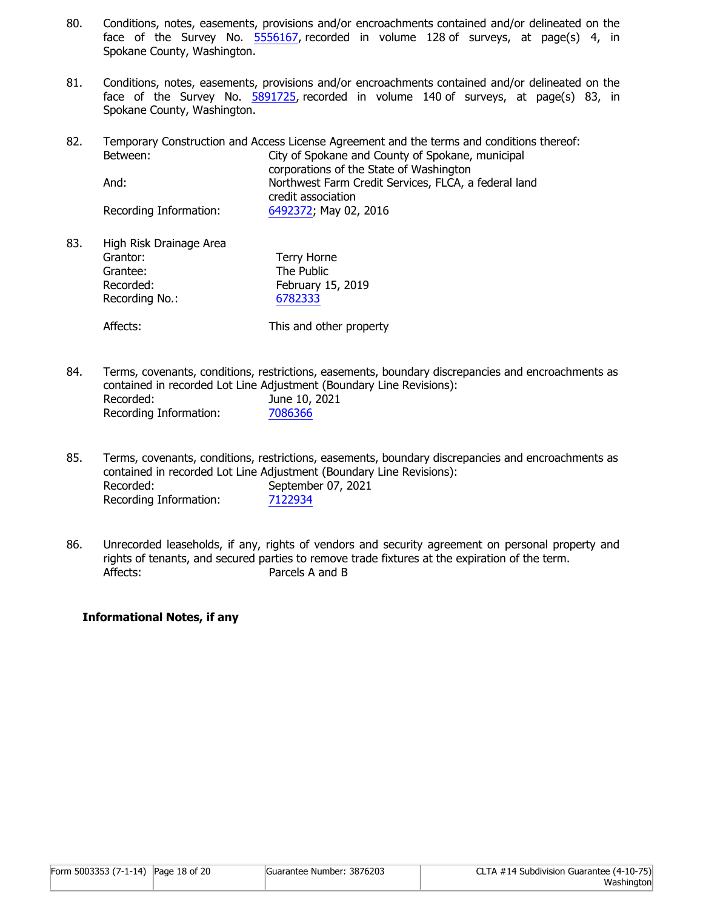- 80. Conditions, notes, easements, provisions and/or encroachments contained and/or delineated on the face of the Survey No. [5556167,](https://ep.firstam.com/meta/index?m=6a1118f8-ec8f-4680-8a03-e9a08ae23427&q=OBg4iutbwC6Yoz40OEz6bPPIGW0Z0QzX9j31Tvm9fk8%3d&h=5667d8d2-2c5b-41db-a7e9-738391d096a2&attach=true) recorded in volume 128 of surveys, at page(s) 4, in Spokane County, Washington.
- 81. Conditions, notes, easements, provisions and/or encroachments contained and/or delineated on the face of the Survey No. [5891725,](https://ep.firstam.com/meta/index?m=6a1118f8-ec8f-4680-8a03-e9a08ae23427&q=OBg4iutbwC6Yoz40OEz6bOLXkHdSLf77O6JqTr8wTvQ%3d&h=253d2e44-2c2c-4a2f-9678-1c3bfaf8519d&attach=true) recorded in volume 140 of surveys, at page(s) 83, in Spokane County, Washington.
- 82. Temporary Construction and Access License Agreement and the terms and conditions thereof: Between: City of Spokane and County of Spokane, municipal corporations of the State of Washington And: Northwest Farm Credit Services, FLCA, a federal land

credit association Recording Information: [6492372](https://ep.firstam.com/meta/index?m=6a1118f8-ec8f-4680-8a03-e9a08ae23427&q=c9hT0ieyptIYYLsYincyptMF016geTEPKib1ltrHak1L3ce2Y%3d&h=8327daf3-991d-4de2-a21a-ffe1f9bbb494&attach=true); May 02, 2016

83. High Risk Drainage Area Grantor: Terry Horne Grantee: The Public Recorded: February 15, 2019 Recording No.: [6782333](https://ep.firstam.com/meta/index?m=6a1118f8-ec8f-4680-8a03-e9a08ae23427&q=c9hT0ieyptIYYLsYincyptMF016tx6AAMdi56Wr8vTyOEH2ng%3d&h=e429e1e2-1919-4409-b8fd-21dbfcac04dd&attach=true)

Affects: This and other property

- 84. Terms, covenants, conditions, restrictions, easements, boundary discrepancies and encroachments as contained in recorded Lot Line Adjustment (Boundary Line Revisions): Recorded: June 10, 2021 Recording Information: [7086366](https://ep.firstam.com/meta/index?m=6a1118f8-ec8f-4680-8a03-e9a08ae23427&q=OBg4iutbwC6Yoz40OEz6bBjdCe65NEzuRhFvU5GJyak%3d&h=4a6bb659-e123-4db9-9a26-d740d2e169af&attach=true)
- 85. Terms, covenants, conditions, restrictions, easements, boundary discrepancies and encroachments as contained in recorded Lot Line Adjustment (Boundary Line Revisions): Recorded: September 07, 2021 Recording Information: [7122934](https://ep.firstam.com/meta/index?m=6a1118f8-ec8f-4680-8a03-e9a08ae23427&q=OBg4iutbwC6Yoz40OEz6bAefbZ7cyptGZeKXMIPpaycyptbXk%3d&h=a4dcf887-d1d4-4c50-bb1e-82f792e9f56b&attach=true)
- 86. Unrecorded leaseholds, if any, rights of vendors and security agreement on personal property and rights of tenants, and secured parties to remove trade fixtures at the expiration of the term. Affects: Parcels A and B

# **Informational Notes, if any**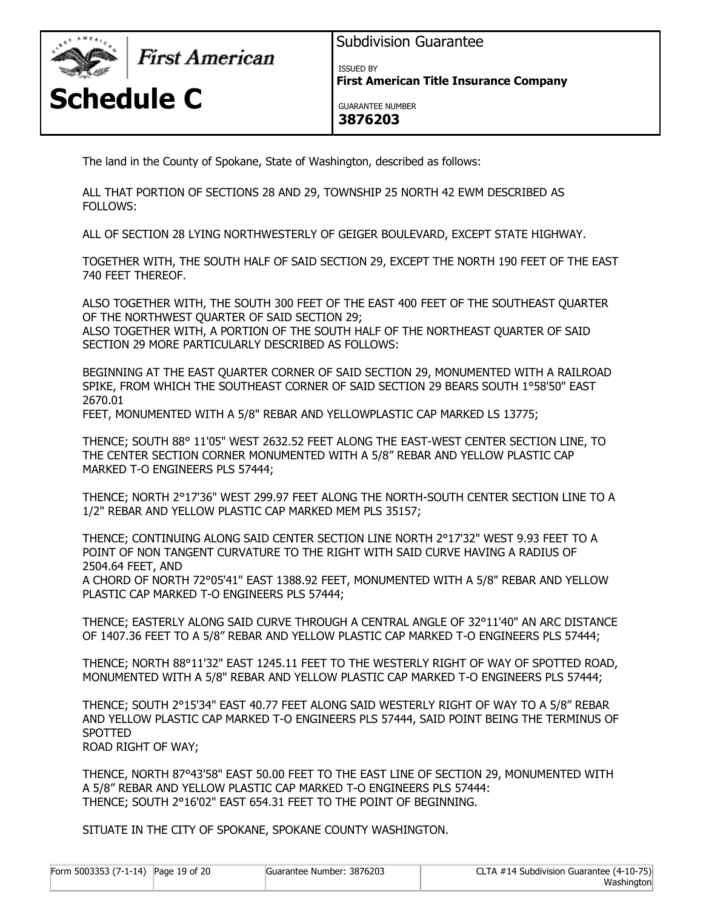

First American

**Schedule C**

Subdivision Guarantee

ISSUED BY

**First American Title Insurance Company**

GUARANTEE NUMBER **3876203**

The land in the County of Spokane, State of Washington, described as follows:

ALL THAT PORTION OF SECTIONS 28 AND 29, TOWNSHIP 25 NORTH 42 EWM DESCRIBED AS FOLLOWS:

ALL OF SECTION 28 LYING NORTHWESTERLY OF GEIGER BOULEVARD, EXCEPT STATE HIGHWAY.

TOGETHER WITH, THE SOUTH HALF OF SAID SECTION 29, EXCEPT THE NORTH 190 FEET OF THE EAST 740 FEET THEREOF.

ALSO TOGETHER WITH, THE SOUTH 300 FEET OF THE EAST 400 FEET OF THE SOUTHEAST QUARTER OF THE NORTHWEST QUARTER OF SAID SECTION 29; ALSO TOGETHER WITH, A PORTION OF THE SOUTH HALF OF THE NORTHEAST QUARTER OF SAID SECTION 29 MORE PARTICULARLY DESCRIBED AS FOLLOWS:

BEGINNING AT THE EAST QUARTER CORNER OF SAID SECTION 29, MONUMENTED WITH A RAILROAD SPIKE, FROM WHICH THE SOUTHEAST CORNER OF SAID SECTION 29 BEARS SOUTH 1°58'50" EAST 2670.01

FEET, MONUMENTED WITH A 5/8" REBAR AND YELLOWPLASTIC CAP MARKED LS 13775;

THENCE; SOUTH 88° 11'05" WEST 2632.52 FEET ALONG THE EAST-WEST CENTER SECTION LINE, TO THE CENTER SECTION CORNER MONUMENTED WITH A 5/8" REBAR AND YELLOW PLASTIC CAP MARKED T-O ENGINEERS PLS 57444;

THENCE; NORTH 2°17'36" WEST 299.97 FEET ALONG THE NORTH-SOUTH CENTER SECTION LINE TO A 1/2" REBAR AND YELLOW PLASTIC CAP MARKED MEM PLS 35157;

THENCE; CONTINUING ALONG SAID CENTER SECTION LINE NORTH 2°17'32" WEST 9.93 FEET TO A POINT OF NON TANGENT CURVATURE TO THE RIGHT WITH SAID CURVE HAVING A RADIUS OF 2504.64 FEET, AND

A CHORD OF NORTH 72°05'41" EAST 1388.92 FEET, MONUMENTED WITH A 5/8" REBAR AND YELLOW PLASTIC CAP MARKED T-O ENGINEERS PLS 57444;

THENCE; EASTERLY ALONG SAID CURVE THROUGH A CENTRAL ANGLE OF 32°11'40" AN ARC DISTANCE OF 1407.36 FEET TO A 5/8" REBAR AND YELLOW PLASTIC CAP MARKED T-O ENGINEERS PLS 57444;

THENCE; NORTH 88°11'32" EAST 1245.11 FEET TO THE WESTERLY RIGHT OF WAY OF SPOTTED ROAD, MONUMENTED WITH A 5/8" REBAR AND YELLOW PLASTIC CAP MARKED T-O ENGINEERS PLS 57444;

THENCE; SOUTH 2°15'34" EAST 40.77 FEET ALONG SAID WESTERLY RIGHT OF WAY TO A 5/8" REBAR AND YELLOW PLASTIC CAP MARKED T-O ENGINEERS PLS 57444, SAID POINT BEING THE TERMINUS OF SPOTTED ROAD RIGHT OF WAY;

THENCE, NORTH 87°43'58" EAST 50.00 FEET TO THE EAST LINE OF SECTION 29, MONUMENTED WITH A 5/8" REBAR AND YELLOW PLASTIC CAP MARKED T-O ENGINEERS PLS 57444: THENCE; SOUTH 2°16'02" EAST 654.31 FEET TO THE POINT OF BEGINNING.

SITUATE IN THE CITY OF SPOKANE, SPOKANE COUNTY WASHINGTON.

| Form 5003353 (7-1-14) Page 19 of 20 | Guarantee Number: 3876203 | CLTA #14 Subdivision Guarantee (4-10-75) |
|-------------------------------------|---------------------------|------------------------------------------|
|                                     |                           | Washington                               |